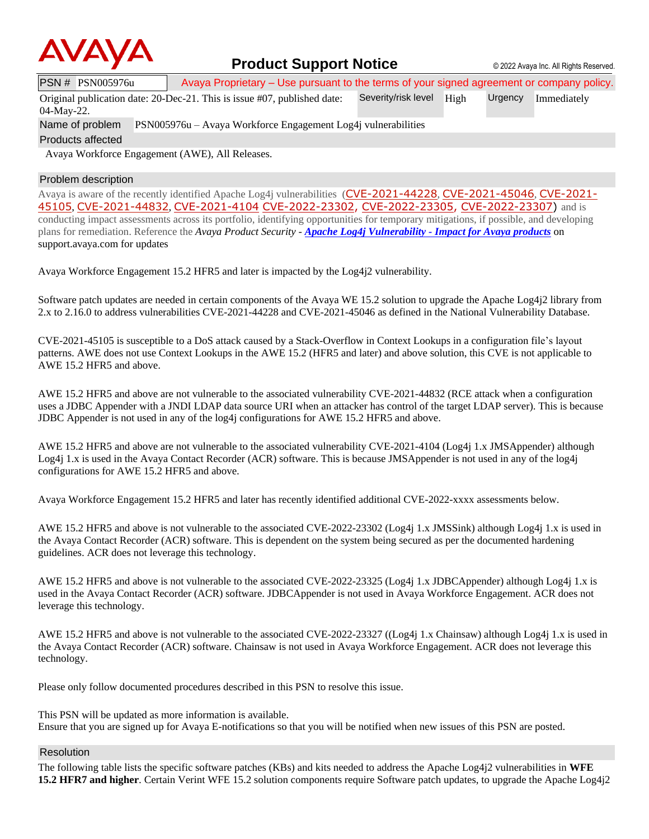

# **Product Support Notice** © 2022 Avaya Inc. All Rights Reserved.

PSN # PSN005976u Avaya Proprietary – Use pursuant to the terms of your signed agreement or company policy.

Original publication date: 20-Dec-21. This is issue #07, published date: Severity/risk level High Urgency Immediately

04-May-22.

Name of problem PSN005976u – Avaya Workforce Engagement Log4j vulnerabilities

Products affected

Avaya Workforce Engagement (AWE), All Releases.

## Problem description

Avaya is aware of the recently identified Apache Log4j vulnerabilities ([CVE-2021-44228](https://cve.mitre.org/cgi-bin/cvename.cgi?name=CVE-2021-44228), [CVE-2021-45046](https://cve.mitre.org/cgi-bin/cvename.cgi?name=CVE-2021-45046), [CVE-2021-](https://cve.mitre.org/cgi-bin/cvename.cgi?name=CVE-2021-45105) [45105](https://cve.mitre.org/cgi-bin/cvename.cgi?name=CVE-2021-45105), [CVE-2021-44832](https://cve.mitre.org/cgi-bin/cvename.cgi?name=CVE-2021-44832), [CVE-2021-4104](https://cve.mitre.org/cgi-bin/cvename.cgi?name=CVE-2021-4104) [CVE-2022-23302,](https://www.cvedetails.com/cve/CVE-2022-23302/) [CVE-2022-23305,](https://www.cvedetails.com/cve/CVE-2022-23305/) [CVE-2022-23307\)](https://www.cvedetails.com/cve/CVE-2022-23307/) and is conducting impact assessments across its portfolio, identifying opportunities for temporary mitigations, if possible, and developing plans for remediation. Reference the *Avaya Product Security - Apache Log4j Vulnerability - [Impact for Avaya products](http://www.avaya.com/emergencyupdate)* on support.avaya.com for updates

Avaya Workforce Engagement 15.2 HFR5 and later is impacted by the Log4j2 vulnerability.

Software patch updates are needed in certain components of the Avaya WE 15.2 solution to upgrade the Apache Log4j2 library from 2.x to 2.16.0 to address vulnerabilities CVE-2021-44228 and CVE-2021-45046 as defined in the National Vulnerability Database.

CVE-2021-45105 is susceptible to a DoS attack caused by a Stack-Overflow in Context Lookups in a configuration file's layout patterns. AWE does not use Context Lookups in the AWE 15.2 (HFR5 and later) and above solution, this CVE is not applicable to AWE 15.2 HFR5 and above.

AWE 15.2 HFR5 and above are not vulnerable to the associated vulnerability CVE-2021-44832 (RCE attack when a configuration uses a JDBC Appender with a JNDI LDAP data source URI when an attacker has control of the target LDAP server). This is because JDBC Appender is not used in any of the log4j configurations for AWE 15.2 HFR5 and above.

AWE 15.2 HFR5 and above are not vulnerable to the associated vulnerability CVE-2021-4104 (Log4j 1.x JMSAppender) although Log4j 1.x is used in the Avaya Contact Recorder (ACR) software. This is because JMSAppender is not used in any of the log4j configurations for AWE 15.2 HFR5 and above.

Avaya Workforce Engagement 15.2 HFR5 and later has recently identified additional CVE-2022-xxxx assessments below.

AWE 15.2 HFR5 and above is not vulnerable to the associated CVE-2022-23302 (Log4j 1.x JMSSink) although Log4j 1.x is used in the Avaya Contact Recorder (ACR) software. This is dependent on the system being secured as per the documented hardening guidelines. ACR does not leverage this technology.

AWE 15.2 HFR5 and above is not vulnerable to the associated CVE-2022-23325 (Log4j 1.x JDBCAppender) although Log4j 1.x is used in the Avaya Contact Recorder (ACR) software. JDBCAppender is not used in Avaya Workforce Engagement. ACR does not leverage this technology.

AWE 15.2 HFR5 and above is not vulnerable to the associated CVE-2022-23327 ((Log4j 1.x Chainsaw) although Log4j 1.x is used in the Avaya Contact Recorder (ACR) software. Chainsaw is not used in Avaya Workforce Engagement. ACR does not leverage this technology.

Please only follow documented procedures described in this PSN to resolve this issue.

This PSN will be updated as more information is available. Ensure that you are signed up for Avaya E-notifications so that you will be notified when new issues of this PSN are posted.

## Resolution

The following table lists the specific software patches (KBs) and kits needed to address the Apache Log4j2 vulnerabilities in **WFE 15.2 HFR7 and higher**. Certain Verint WFE 15.2 solution components require Software patch updates, to upgrade the Apache Log4j2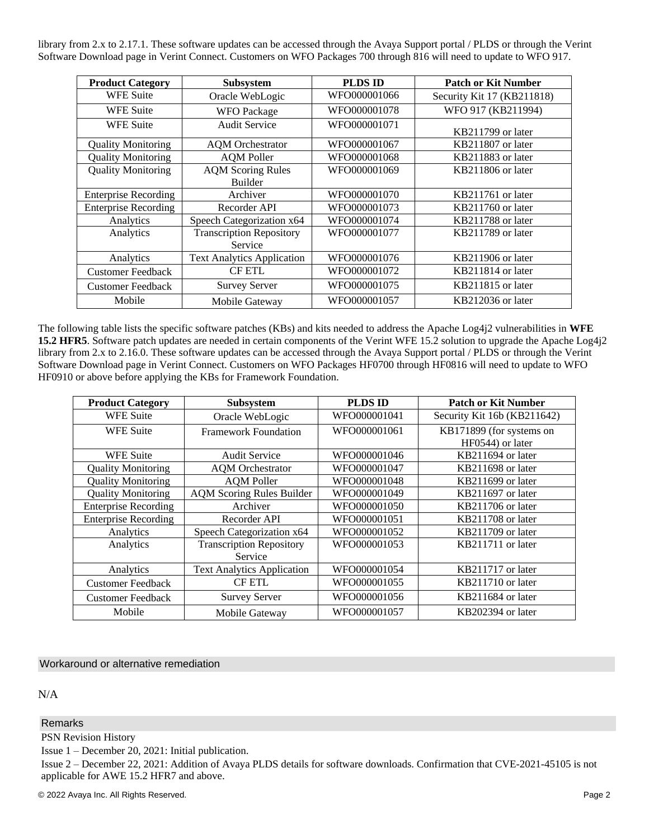library from 2.x to 2.17.1. These software updates can be accessed through the Avaya Support portal / PLDS or through the Verint Software Download page in Verint Connect. Customers on WFO Packages 700 through 816 will need to update to WFO 917.

| <b>Product Category</b>     | <b>Subsystem</b>                  | <b>PLDS ID</b> | <b>Patch or Kit Number</b> |
|-----------------------------|-----------------------------------|----------------|----------------------------|
| <b>WFE Suite</b>            | Oracle WebLogic                   | WFO000001066   | Security Kit 17 (KB211818) |
| <b>WFE Suite</b>            | <b>WFO</b> Package                | WFO000001078   | WFO 917 (KB211994)         |
| <b>WFE Suite</b>            | <b>Audit Service</b>              | WFO000001071   | KB211799 or later          |
| <b>Quality Monitoring</b>   | <b>AQM</b> Orchestrator           | WFO000001067   | KB211807 or later          |
| <b>Quality Monitoring</b>   | <b>AQM</b> Poller                 | WFO000001068   | KB211883 or later          |
| <b>Quality Monitoring</b>   | <b>AQM Scoring Rules</b>          | WFO000001069   | KB211806 or later          |
|                             | Builder                           |                |                            |
| <b>Enterprise Recording</b> | Archiver                          | WFO000001070   | KB211761 or later          |
| <b>Enterprise Recording</b> | Recorder API                      | WFO000001073   | KB211760 or later          |
| Analytics                   | Speech Categorization x64         | WFO000001074   | KB211788 or later          |
| Analytics                   | <b>Transcription Repository</b>   | WFO000001077   | KB211789 or later          |
|                             | Service                           |                |                            |
| Analytics                   | <b>Text Analytics Application</b> | WFO000001076   | KB211906 or later          |
| <b>Customer Feedback</b>    | <b>CF ETL</b>                     | WFO000001072   | KB211814 or later          |
| <b>Customer Feedback</b>    | <b>Survey Server</b>              | WFO000001075   | KB211815 or later          |
| Mobile                      | Mobile Gateway                    | WFO000001057   | KB212036 or later          |

The following table lists the specific software patches (KBs) and kits needed to address the Apache Log4j2 vulnerabilities in **WFE 15.2 HFR5**. Software patch updates are needed in certain components of the Verint WFE 15.2 solution to upgrade the Apache Log4j2 library from 2.x to 2.16.0. These software updates can be accessed through the Avaya Support portal / PLDS or through the Verint Software Download page in Verint Connect. Customers on WFO Packages HF0700 through HF0816 will need to update to WFO HF0910 or above before applying the KBs for Framework Foundation.

| <b>Product Category</b>     | <b>Subsystem</b>                  | <b>PLDS ID</b> | <b>Patch or Kit Number</b>  |
|-----------------------------|-----------------------------------|----------------|-----------------------------|
| <b>WFE Suite</b>            | Oracle WebLogic                   | WFO000001041   | Security Kit 16b (KB211642) |
| <b>WFE Suite</b>            | Framework Foundation              | WFO000001061   | KB171899 (for systems on    |
|                             |                                   |                | HF0544) or later            |
| <b>WFE Suite</b>            | <b>Audit Service</b>              | WFO000001046   | KB211694 or later           |
| <b>Quality Monitoring</b>   | <b>AQM</b> Orchestrator           | WFO000001047   | KB211698 or later           |
| <b>Quality Monitoring</b>   | <b>AQM Poller</b>                 | WFO000001048   | KB211699 or later           |
| <b>Quality Monitoring</b>   | <b>AQM Scoring Rules Builder</b>  | WFO000001049   | KB211697 or later           |
| <b>Enterprise Recording</b> | Archiver                          | WFO000001050   | KB211706 or later           |
| <b>Enterprise Recording</b> | Recorder API                      | WFO000001051   | KB211708 or later           |
| Analytics                   | Speech Categorization x64         | WFO000001052   | KB211709 or later           |
| Analytics                   | <b>Transcription Repository</b>   | WFO000001053   | KB211711 or later           |
|                             | Service                           |                |                             |
| Analytics                   | <b>Text Analytics Application</b> | WFO000001054   | KB211717 or later           |
| <b>Customer Feedback</b>    | <b>CF ETL</b>                     | WFO000001055   | KB211710 or later           |
| <b>Customer Feedback</b>    | <b>Survey Server</b>              | WFO000001056   | KB211684 or later           |
| Mobile                      | Mobile Gateway                    | WFO000001057   | KB202394 or later           |

## Workaround or alternative remediation

N/A

## Remarks

PSN Revision History

Issue 1 – December 20, 2021: Initial publication.

Issue 2 – December 22, 2021: Addition of Avaya PLDS details for software downloads. Confirmation that CVE-2021-45105 is not applicable for AWE 15.2 HFR7 and above.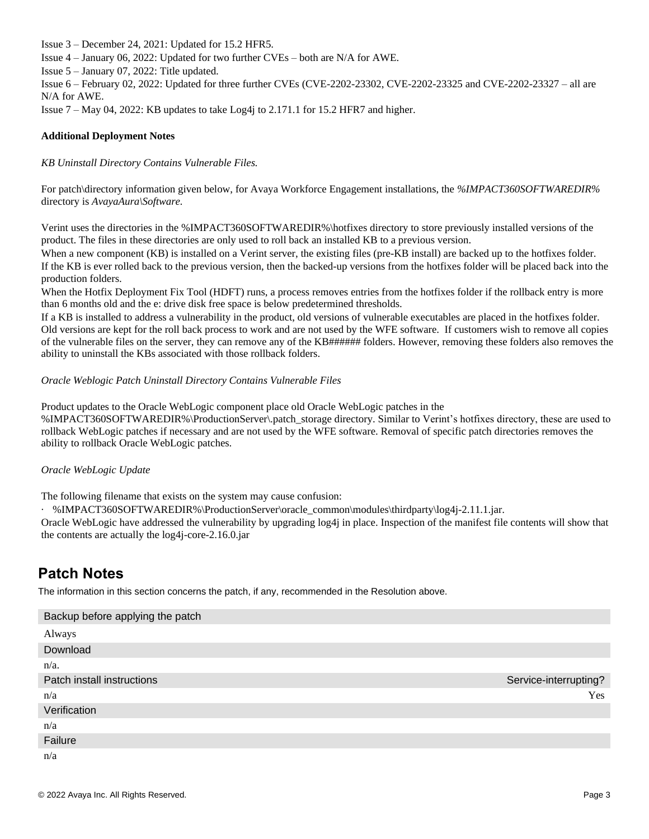Issue 3 – December 24, 2021: Updated for 15.2 HFR5. Issue 4 – January 06, 2022: Updated for two further CVEs – both are N/A for AWE. Issue 5 – January 07, 2022: Title updated. Issue 6 – February 02, 2022: Updated for three further CVEs (CVE-2202-23302, CVE-2202-23325 and CVE-2202-23327 – all are N/A for AWE. Issue  $7 -$  May 04, 2022: KB updates to take  $Log4$  to 2.171.1 for 15.2 HFR7 and higher.

## **Additional Deployment Notes**

*KB Uninstall Directory Contains Vulnerable Files.*

For patch\directory information given below, for Avaya Workforce Engagement installations, the *%IMPACT360SOFTWAREDIR%*  directory is *AvayaAura\Software.*

Verint uses the directories in the %IMPACT360SOFTWAREDIR%\hotfixes directory to store previously installed versions of the product. The files in these directories are only used to roll back an installed KB to a previous version.

When a new component (KB) is installed on a Verint server, the existing files (pre-KB install) are backed up to the hotfixes folder. If the KB is ever rolled back to the previous version, then the backed-up versions from the hotfixes folder will be placed back into the production folders.

When the Hotfix Deployment Fix Tool (HDFT) runs, a process removes entries from the hotfixes folder if the rollback entry is more than 6 months old and the e: drive disk free space is below predetermined thresholds.

If a KB is installed to address a vulnerability in the product, old versions of vulnerable executables are placed in the hotfixes folder. Old versions are kept for the roll back process to work and are not used by the WFE software. If customers wish to remove all copies of the vulnerable files on the server, they can remove any of the KB###### folders. However, removing these folders also removes the ability to uninstall the KBs associated with those rollback folders.

## *Oracle Weblogic Patch Uninstall Directory Contains Vulnerable Files*

Product updates to the Oracle WebLogic component place old Oracle WebLogic patches in the

%IMPACT360SOFTWAREDIR%\ProductionServer\.patch\_storage directory. Similar to Verint's hotfixes directory, these are used to rollback WebLogic patches if necessary and are not used by the WFE software. Removal of specific patch directories removes the ability to rollback Oracle WebLogic patches.

## *Oracle WebLogic Update*

The following filename that exists on the system may cause confusion:

· %IMPACT360SOFTWAREDIR%\ProductionServer\oracle\_common\modules\thirdparty\log4j-2.11.1.jar.

Oracle WebLogic have addressed the vulnerability by upgrading log4j in place. Inspection of the manifest file contents will show that the contents are actually the log4j-core-2.16.0.jar

# **Patch Notes**

The information in this section concerns the patch, if any, recommended in the Resolution above.

| Backup before applying the patch |                       |
|----------------------------------|-----------------------|
| Always                           |                       |
| Download                         |                       |
| $n/a$ .                          |                       |
| Patch install instructions       | Service-interrupting? |
| n/a                              | Yes                   |
| Verification                     |                       |
| n/a                              |                       |
| Failure                          |                       |
| n/a                              |                       |